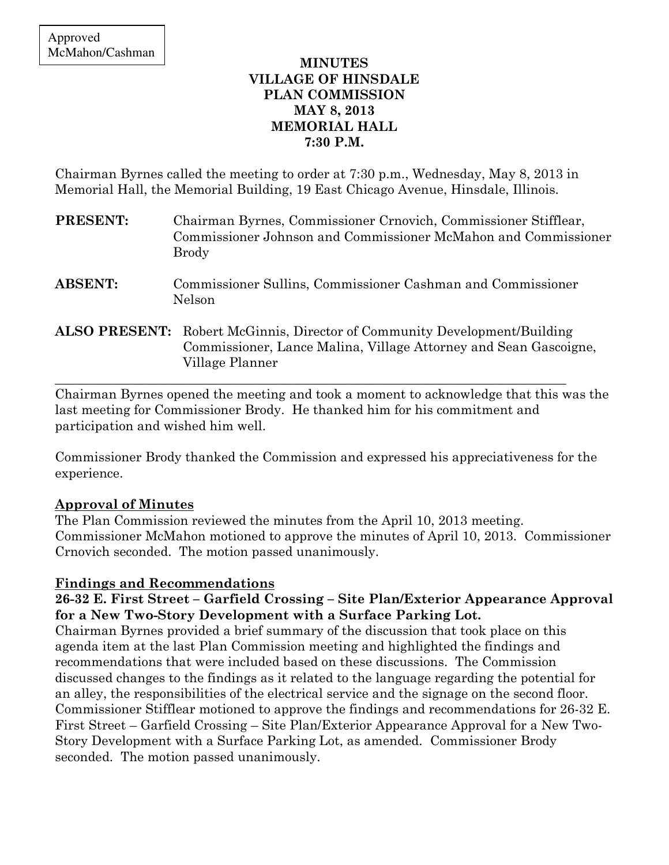## MINUTES VILLAGE OF HINSDALE PLAN COMMISSION MAY 8, 2013 MEMORIAL HALL 7:30 P.M.

Chairman Byrnes called the meeting to order at 7:30 p.m., Wednesday, May 8, 2013 in Memorial Hall, the Memorial Building, 19 East Chicago Avenue, Hinsdale, Illinois.

| <b>PRESENT:</b> | Chairman Byrnes, Commissioner Crnovich, Commissioner Stifflear,<br>Commissioner Johnson and Commissioner McMahon and Commissioner<br><b>Brody</b>                       |
|-----------------|-------------------------------------------------------------------------------------------------------------------------------------------------------------------------|
| <b>ABSENT:</b>  | Commissioner Sullins, Commissioner Cashman and Commissioner<br>Nelson                                                                                                   |
|                 | <b>ALSO PRESENT:</b> Robert McGinnis, Director of Community Development/Building<br>Commissioner, Lance Malina, Village Attorney and Sean Gascoigne,<br>Village Planner |

Chairman Byrnes opened the meeting and took a moment to acknowledge that this was the last meeting for Commissioner Brody. He thanked him for his commitment and participation and wished him well.

Commissioner Brody thanked the Commission and expressed his appreciativeness for the experience.

# Approval of Minutes

The Plan Commission reviewed the minutes from the April 10, 2013 meeting. Commissioner McMahon motioned to approve the minutes of April 10, 2013. Commissioner Crnovich seconded. The motion passed unanimously.

# Findings and Recommendations

# 26-32 E. First Street – Garfield Crossing – Site Plan/Exterior Appearance Approval for a New Two-Story Development with a Surface Parking Lot.

Chairman Byrnes provided a brief summary of the discussion that took place on this agenda item at the last Plan Commission meeting and highlighted the findings and recommendations that were included based on these discussions. The Commission discussed changes to the findings as it related to the language regarding the potential for an alley, the responsibilities of the electrical service and the signage on the second floor. Commissioner Stifflear motioned to approve the findings and recommendations for 26-32 E. First Street – Garfield Crossing – Site Plan/Exterior Appearance Approval for a New Two-Story Development with a Surface Parking Lot, as amended. Commissioner Brody seconded. The motion passed unanimously.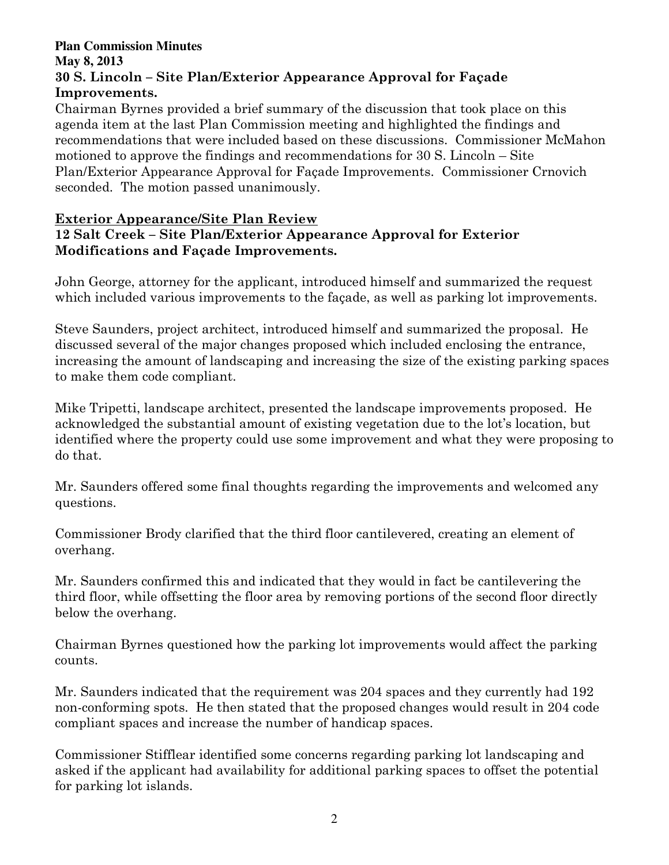### **Plan Commission Minutes May 8, 2013**  30 S. Lincoln – Site Plan/Exterior Appearance Approval for Façade Improvements.

Chairman Byrnes provided a brief summary of the discussion that took place on this agenda item at the last Plan Commission meeting and highlighted the findings and recommendations that were included based on these discussions. Commissioner McMahon motioned to approve the findings and recommendations for 30 S. Lincoln – Site Plan/Exterior Appearance Approval for Façade Improvements. Commissioner Crnovich seconded. The motion passed unanimously.

## Exterior Appearance/Site Plan Review 12 Salt Creek – Site Plan/Exterior Appearance Approval for Exterior Modifications and Façade Improvements.

John George, attorney for the applicant, introduced himself and summarized the request which included various improvements to the façade, as well as parking lot improvements.

Steve Saunders, project architect, introduced himself and summarized the proposal. He discussed several of the major changes proposed which included enclosing the entrance, increasing the amount of landscaping and increasing the size of the existing parking spaces to make them code compliant.

Mike Tripetti, landscape architect, presented the landscape improvements proposed. He acknowledged the substantial amount of existing vegetation due to the lot's location, but identified where the property could use some improvement and what they were proposing to do that.

Mr. Saunders offered some final thoughts regarding the improvements and welcomed any questions.

Commissioner Brody clarified that the third floor cantilevered, creating an element of overhang.

Mr. Saunders confirmed this and indicated that they would in fact be cantilevering the third floor, while offsetting the floor area by removing portions of the second floor directly below the overhang.

Chairman Byrnes questioned how the parking lot improvements would affect the parking counts.

Mr. Saunders indicated that the requirement was 204 spaces and they currently had 192 non-conforming spots. He then stated that the proposed changes would result in 204 code compliant spaces and increase the number of handicap spaces.

Commissioner Stifflear identified some concerns regarding parking lot landscaping and asked if the applicant had availability for additional parking spaces to offset the potential for parking lot islands.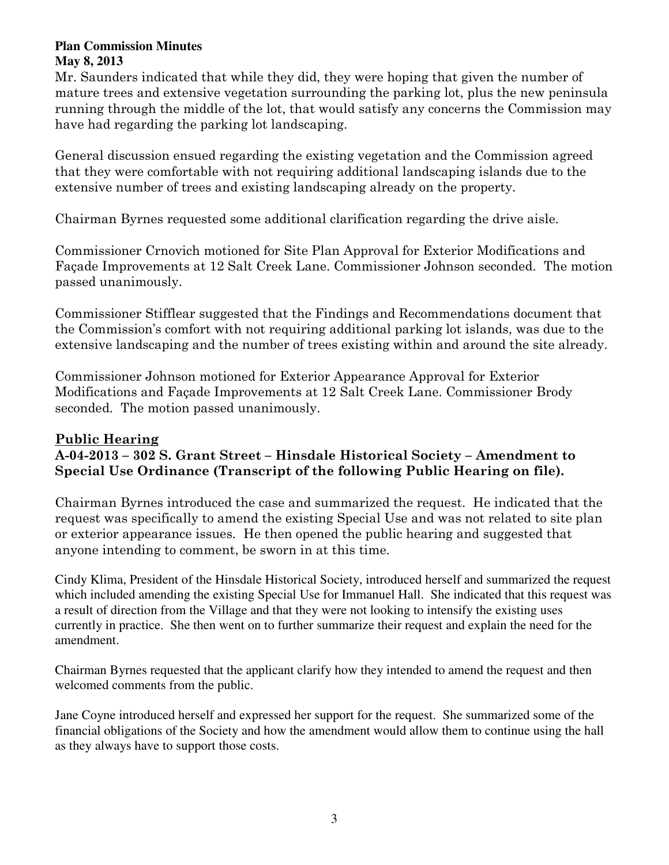Mr. Saunders indicated that while they did, they were hoping that given the number of mature trees and extensive vegetation surrounding the parking lot, plus the new peninsula running through the middle of the lot, that would satisfy any concerns the Commission may have had regarding the parking lot landscaping.

General discussion ensued regarding the existing vegetation and the Commission agreed that they were comfortable with not requiring additional landscaping islands due to the extensive number of trees and existing landscaping already on the property.

Chairman Byrnes requested some additional clarification regarding the drive aisle.

Commissioner Crnovich motioned for Site Plan Approval for Exterior Modifications and Façade Improvements at 12 Salt Creek Lane. Commissioner Johnson seconded. The motion passed unanimously.

Commissioner Stifflear suggested that the Findings and Recommendations document that the Commission's comfort with not requiring additional parking lot islands, was due to the extensive landscaping and the number of trees existing within and around the site already.

Commissioner Johnson motioned for Exterior Appearance Approval for Exterior Modifications and Façade Improvements at 12 Salt Creek Lane. Commissioner Brody seconded. The motion passed unanimously.

## Public Hearing A-04-2013 – 302 S. Grant Street – Hinsdale Historical Society – Amendment to Special Use Ordinance (Transcript of the following Public Hearing on file).

Chairman Byrnes introduced the case and summarized the request. He indicated that the request was specifically to amend the existing Special Use and was not related to site plan or exterior appearance issues. He then opened the public hearing and suggested that anyone intending to comment, be sworn in at this time.

Cindy Klima, President of the Hinsdale Historical Society, introduced herself and summarized the request which included amending the existing Special Use for Immanuel Hall. She indicated that this request was a result of direction from the Village and that they were not looking to intensify the existing uses currently in practice. She then went on to further summarize their request and explain the need for the amendment.

Chairman Byrnes requested that the applicant clarify how they intended to amend the request and then welcomed comments from the public.

Jane Coyne introduced herself and expressed her support for the request. She summarized some of the financial obligations of the Society and how the amendment would allow them to continue using the hall as they always have to support those costs.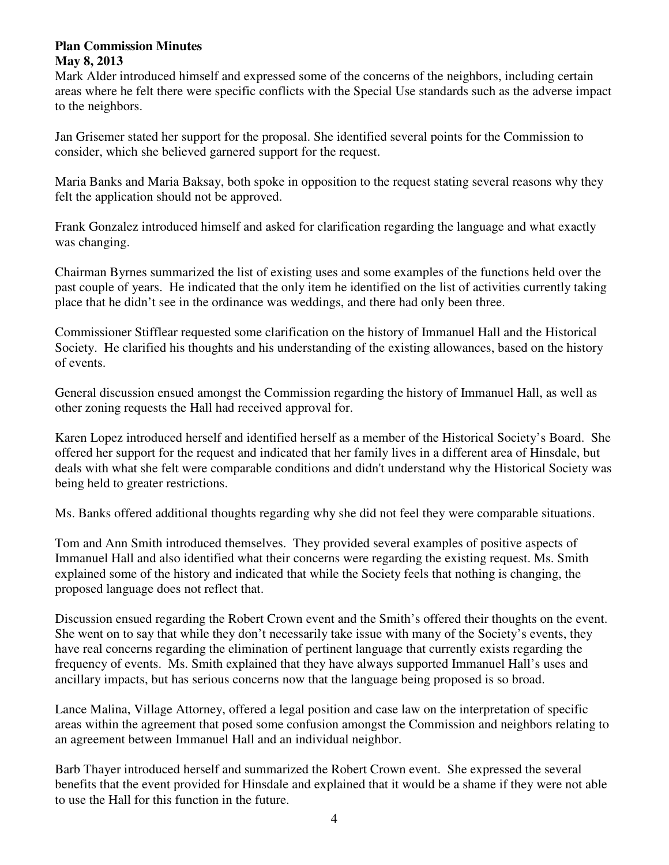Mark Alder introduced himself and expressed some of the concerns of the neighbors, including certain areas where he felt there were specific conflicts with the Special Use standards such as the adverse impact to the neighbors.

Jan Grisemer stated her support for the proposal. She identified several points for the Commission to consider, which she believed garnered support for the request.

Maria Banks and Maria Baksay, both spoke in opposition to the request stating several reasons why they felt the application should not be approved.

Frank Gonzalez introduced himself and asked for clarification regarding the language and what exactly was changing.

Chairman Byrnes summarized the list of existing uses and some examples of the functions held over the past couple of years. He indicated that the only item he identified on the list of activities currently taking place that he didn't see in the ordinance was weddings, and there had only been three.

Commissioner Stifflear requested some clarification on the history of Immanuel Hall and the Historical Society. He clarified his thoughts and his understanding of the existing allowances, based on the history of events.

General discussion ensued amongst the Commission regarding the history of Immanuel Hall, as well as other zoning requests the Hall had received approval for.

Karen Lopez introduced herself and identified herself as a member of the Historical Society's Board. She offered her support for the request and indicated that her family lives in a different area of Hinsdale, but deals with what she felt were comparable conditions and didn't understand why the Historical Society was being held to greater restrictions.

Ms. Banks offered additional thoughts regarding why she did not feel they were comparable situations.

Tom and Ann Smith introduced themselves. They provided several examples of positive aspects of Immanuel Hall and also identified what their concerns were regarding the existing request. Ms. Smith explained some of the history and indicated that while the Society feels that nothing is changing, the proposed language does not reflect that.

Discussion ensued regarding the Robert Crown event and the Smith's offered their thoughts on the event. She went on to say that while they don't necessarily take issue with many of the Society's events, they have real concerns regarding the elimination of pertinent language that currently exists regarding the frequency of events. Ms. Smith explained that they have always supported Immanuel Hall's uses and ancillary impacts, but has serious concerns now that the language being proposed is so broad.

Lance Malina, Village Attorney, offered a legal position and case law on the interpretation of specific areas within the agreement that posed some confusion amongst the Commission and neighbors relating to an agreement between Immanuel Hall and an individual neighbor.

Barb Thayer introduced herself and summarized the Robert Crown event. She expressed the several benefits that the event provided for Hinsdale and explained that it would be a shame if they were not able to use the Hall for this function in the future.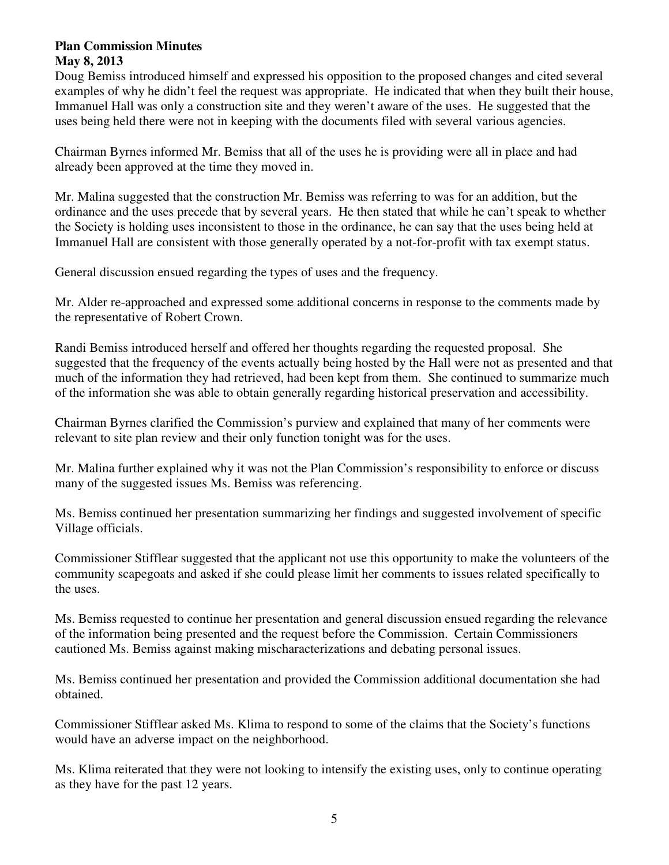Doug Bemiss introduced himself and expressed his opposition to the proposed changes and cited several examples of why he didn't feel the request was appropriate. He indicated that when they built their house, Immanuel Hall was only a construction site and they weren't aware of the uses. He suggested that the uses being held there were not in keeping with the documents filed with several various agencies.

Chairman Byrnes informed Mr. Bemiss that all of the uses he is providing were all in place and had already been approved at the time they moved in.

Mr. Malina suggested that the construction Mr. Bemiss was referring to was for an addition, but the ordinance and the uses precede that by several years. He then stated that while he can't speak to whether the Society is holding uses inconsistent to those in the ordinance, he can say that the uses being held at Immanuel Hall are consistent with those generally operated by a not-for-profit with tax exempt status.

General discussion ensued regarding the types of uses and the frequency.

Mr. Alder re-approached and expressed some additional concerns in response to the comments made by the representative of Robert Crown.

Randi Bemiss introduced herself and offered her thoughts regarding the requested proposal. She suggested that the frequency of the events actually being hosted by the Hall were not as presented and that much of the information they had retrieved, had been kept from them. She continued to summarize much of the information she was able to obtain generally regarding historical preservation and accessibility.

Chairman Byrnes clarified the Commission's purview and explained that many of her comments were relevant to site plan review and their only function tonight was for the uses.

Mr. Malina further explained why it was not the Plan Commission's responsibility to enforce or discuss many of the suggested issues Ms. Bemiss was referencing.

Ms. Bemiss continued her presentation summarizing her findings and suggested involvement of specific Village officials.

Commissioner Stifflear suggested that the applicant not use this opportunity to make the volunteers of the community scapegoats and asked if she could please limit her comments to issues related specifically to the uses.

Ms. Bemiss requested to continue her presentation and general discussion ensued regarding the relevance of the information being presented and the request before the Commission. Certain Commissioners cautioned Ms. Bemiss against making mischaracterizations and debating personal issues.

Ms. Bemiss continued her presentation and provided the Commission additional documentation she had obtained.

Commissioner Stifflear asked Ms. Klima to respond to some of the claims that the Society's functions would have an adverse impact on the neighborhood.

Ms. Klima reiterated that they were not looking to intensify the existing uses, only to continue operating as they have for the past 12 years.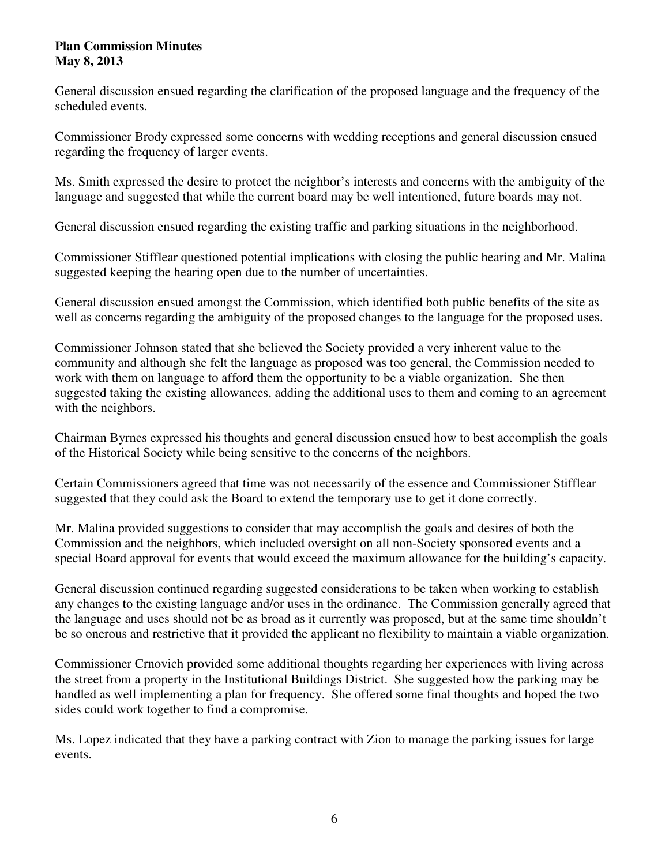General discussion ensued regarding the clarification of the proposed language and the frequency of the scheduled events.

Commissioner Brody expressed some concerns with wedding receptions and general discussion ensued regarding the frequency of larger events.

Ms. Smith expressed the desire to protect the neighbor's interests and concerns with the ambiguity of the language and suggested that while the current board may be well intentioned, future boards may not.

General discussion ensued regarding the existing traffic and parking situations in the neighborhood.

Commissioner Stifflear questioned potential implications with closing the public hearing and Mr. Malina suggested keeping the hearing open due to the number of uncertainties.

General discussion ensued amongst the Commission, which identified both public benefits of the site as well as concerns regarding the ambiguity of the proposed changes to the language for the proposed uses.

Commissioner Johnson stated that she believed the Society provided a very inherent value to the community and although she felt the language as proposed was too general, the Commission needed to work with them on language to afford them the opportunity to be a viable organization. She then suggested taking the existing allowances, adding the additional uses to them and coming to an agreement with the neighbors.

Chairman Byrnes expressed his thoughts and general discussion ensued how to best accomplish the goals of the Historical Society while being sensitive to the concerns of the neighbors.

Certain Commissioners agreed that time was not necessarily of the essence and Commissioner Stifflear suggested that they could ask the Board to extend the temporary use to get it done correctly.

Mr. Malina provided suggestions to consider that may accomplish the goals and desires of both the Commission and the neighbors, which included oversight on all non-Society sponsored events and a special Board approval for events that would exceed the maximum allowance for the building's capacity.

General discussion continued regarding suggested considerations to be taken when working to establish any changes to the existing language and/or uses in the ordinance. The Commission generally agreed that the language and uses should not be as broad as it currently was proposed, but at the same time shouldn't be so onerous and restrictive that it provided the applicant no flexibility to maintain a viable organization.

Commissioner Crnovich provided some additional thoughts regarding her experiences with living across the street from a property in the Institutional Buildings District. She suggested how the parking may be handled as well implementing a plan for frequency. She offered some final thoughts and hoped the two sides could work together to find a compromise.

Ms. Lopez indicated that they have a parking contract with Zion to manage the parking issues for large events.